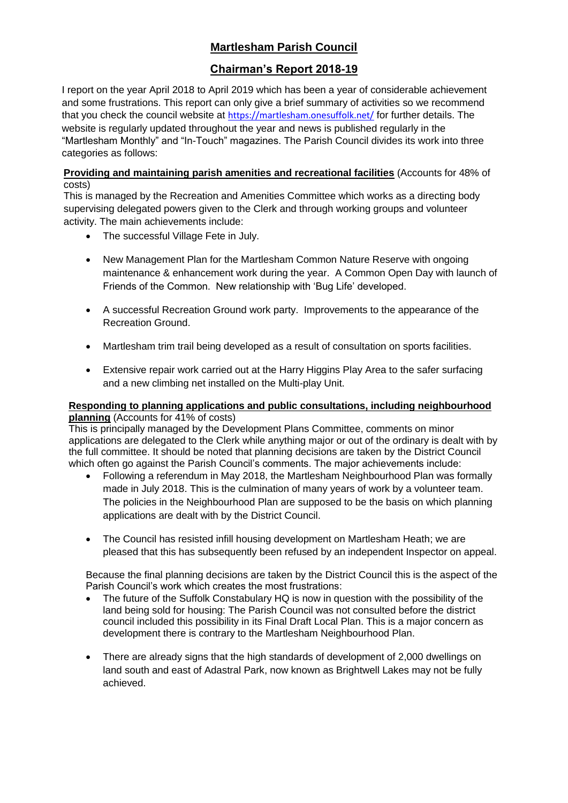## **Martlesham Parish Council**

## **Chairman's Report 2018-19**

I report on the year April 2018 to April 2019 which has been a year of considerable achievement and some frustrations. This report can only give a brief summary of activities so we recommend that you check the council website at <https://martlesham.onesuffolk.net/> for further details. The website is regularly updated throughout the year and news is published regularly in the "Martlesham Monthly" and "In-Touch" magazines. The Parish Council divides its work into three categories as follows:

**Providing and maintaining parish amenities and recreational facilities** (Accounts for 48% of costs)

This is managed by the Recreation and Amenities Committee which works as a directing body supervising delegated powers given to the Clerk and through working groups and volunteer activity. The main achievements include:

- The successful Village Fete in July.
- New Management Plan for the Martlesham Common Nature Reserve with ongoing maintenance & enhancement work during the year. A Common Open Day with launch of Friends of the Common. New relationship with 'Bug Life' developed.
- A successful Recreation Ground work party. Improvements to the appearance of the Recreation Ground.
- Martlesham trim trail being developed as a result of consultation on sports facilities.
- Extensive repair work carried out at the Harry Higgins Play Area to the safer surfacing and a new climbing net installed on the Multi-play Unit.

## **Responding to planning applications and public consultations, including neighbourhood planning** (Accounts for 41% of costs)

This is principally managed by the Development Plans Committee, comments on minor applications are delegated to the Clerk while anything major or out of the ordinary is dealt with by the full committee. It should be noted that planning decisions are taken by the District Council which often go against the Parish Council's comments. The major achievements include:

- Following a referendum in May 2018, the Martlesham Neighbourhood Plan was formally made in July 2018. This is the culmination of many years of work by a volunteer team. The policies in the Neighbourhood Plan are supposed to be the basis on which planning applications are dealt with by the District Council.
- The Council has resisted infill housing development on Martlesham Heath; we are pleased that this has subsequently been refused by an independent Inspector on appeal.

Because the final planning decisions are taken by the District Council this is the aspect of the Parish Council's work which creates the most frustrations:

- The future of the Suffolk Constabulary HQ is now in question with the possibility of the land being sold for housing: The Parish Council was not consulted before the district council included this possibility in its Final Draft Local Plan. This is a major concern as development there is contrary to the Martlesham Neighbourhood Plan.
- There are already signs that the high standards of development of 2,000 dwellings on land south and east of Adastral Park, now known as Brightwell Lakes may not be fully achieved.